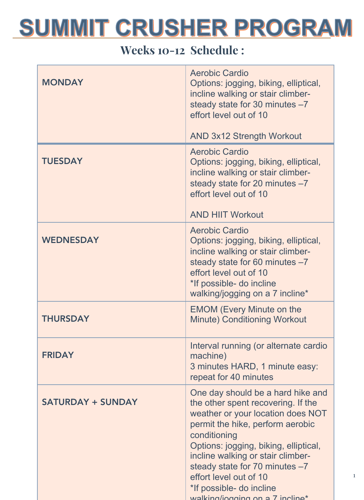#### Weeks 10-12 Schedule :

| <b>MONDAY</b>            | <b>Aerobic Cardio</b><br>Options: jogging, biking, elliptical,<br>incline walking or stair climber-<br>steady state for 30 minutes -7<br>effort level out of 10                                                                                                                                                                                                           |
|--------------------------|---------------------------------------------------------------------------------------------------------------------------------------------------------------------------------------------------------------------------------------------------------------------------------------------------------------------------------------------------------------------------|
|                          | <b>AND 3x12 Strength Workout</b>                                                                                                                                                                                                                                                                                                                                          |
| <b>TUESDAY</b>           | <b>Aerobic Cardio</b><br>Options: jogging, biking, elliptical,<br>incline walking or stair climber-<br>steady state for 20 minutes -7<br>effort level out of 10<br><b>AND HIIT Workout</b>                                                                                                                                                                                |
| <b>WEDNESDAY</b>         | <b>Aerobic Cardio</b><br>Options: jogging, biking, elliptical,<br>incline walking or stair climber-<br>steady state for 60 minutes -7<br>effort level out of 10<br>*If possible- do incline<br>walking/jogging on a 7 incline*                                                                                                                                            |
| <b>THURSDAY</b>          | <b>EMOM (Every Minute on the</b><br><b>Minute) Conditioning Workout</b>                                                                                                                                                                                                                                                                                                   |
| <b>FRIDAY</b>            | Interval running (or alternate cardio<br>machine)<br>3 minutes HARD, 1 minute easy:<br>repeat for 40 minutes                                                                                                                                                                                                                                                              |
| <b>SATURDAY + SUNDAY</b> | One day should be a hard hike and<br>the other spent recovering. If the<br>weather or your location does NOT<br>permit the hike, perform aerobic<br>conditioning<br>Options: jogging, biking, elliptical,<br>incline walking or stair climber-<br>steady state for 70 minutes -7<br>effort level out of 10<br>*If possible- do incline<br>walking/ionging on a 7 incling* |

1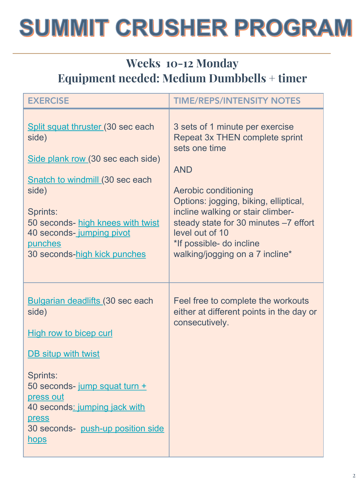#### Weeks 10-12 Monday Equipment needed: Medium Dumbbells + timer

| <b>EXERCISE</b>                                                                                                                                                                                                                                                         | <b>TIME/REPS/INTENSITY NOTES</b>                                                                                                                                                                                                                                                                                                                |
|-------------------------------------------------------------------------------------------------------------------------------------------------------------------------------------------------------------------------------------------------------------------------|-------------------------------------------------------------------------------------------------------------------------------------------------------------------------------------------------------------------------------------------------------------------------------------------------------------------------------------------------|
| Split squat thruster (30 sec each<br>side)<br>Side plank row (30 sec each side)<br><b>Snatch to windmill (30 sec each</b><br>side)<br>Sprints:<br>50 seconds- high knees with twist<br>40 seconds-jumping pivot<br>punches<br>30 seconds-high kick punches              | 3 sets of 1 minute per exercise<br><b>Repeat 3x THEN complete sprint</b><br>sets one time<br><b>AND</b><br><b>Aerobic conditioning</b><br>Options: jogging, biking, elliptical,<br>incline walking or stair climber-<br>steady state for 30 minutes -7 effort<br>level out of 10<br>*If possible- do incline<br>walking/jogging on a 7 incline* |
| <b>Bulgarian deadlifts (30 sec each</b><br>side)<br><b>High row to bicep curl</b><br><b>DB</b> situp with twist<br>Sprints:<br>50 seconds- jump squat turn +<br>press out<br>40 seconds: jumping jack with<br>press<br>30 seconds- push-up position side<br><u>hops</u> | Feel free to complete the workouts<br>either at different points in the day or<br>consecutively.                                                                                                                                                                                                                                                |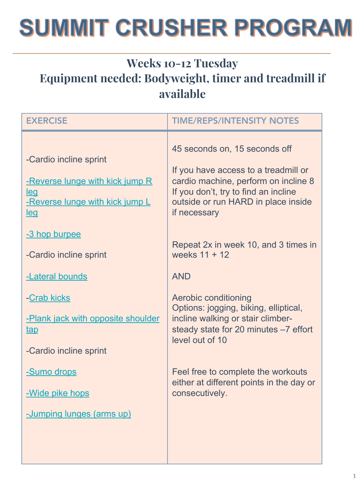### Weeks 10-12 Tuesday Equipment needed: Bodyweight, timer and treadmill if available

| <b>EXERCISE</b>                                                                                                          | <b>TIME/REPS/INTENSITY NOTES</b>                                                                                                                                                                             |
|--------------------------------------------------------------------------------------------------------------------------|--------------------------------------------------------------------------------------------------------------------------------------------------------------------------------------------------------------|
| -Cardio incline sprint<br>-Reverse lunge with kick jump R<br><u>leg</u><br>-Reverse lunge with kick jump L<br><u>leq</u> | 45 seconds on, 15 seconds off<br>If you have access to a treadmill or<br>cardio machine, perform on incline 8<br>If you don't, try to find an incline<br>outside or run HARD in place inside<br>if necessary |
| -3 hop burpee<br>-Cardio incline sprint                                                                                  | Repeat 2x in week 10, and 3 times in<br>weeks 11 + 12                                                                                                                                                        |
| -Lateral bounds                                                                                                          | <b>AND</b>                                                                                                                                                                                                   |
| -Crab kicks<br>-Plank jack with opposite shoulder<br><u>tap</u><br>-Cardio incline sprint                                | <b>Aerobic conditioning</b><br>Options: jogging, biking, elliptical,<br>incline walking or stair climber-<br>steady state for 20 minutes -7 effort<br>level out of 10                                        |
| -Sumo drops<br>-Wide pike hops                                                                                           | Feel free to complete the workouts<br>either at different points in the day or<br>consecutively.                                                                                                             |
| -Jumping lunges (arms up)                                                                                                |                                                                                                                                                                                                              |